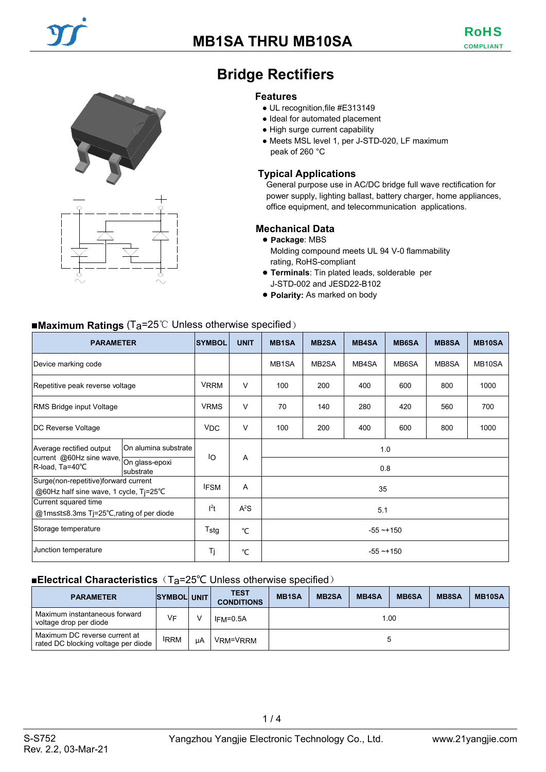



# **Bridge Rectifiers**

#### **Features**

- UL recognition,file #E313149
- Ideal for automated placement
- High surge current capability
- Meets MSL level 1, per J-STD-020, LF maximum peak of 260 °C

# **Typical Applications**

General purpose use in AC/DC bridge full wave rectification for power supply, lighting ballast, battery charger, home appliances, office equipment, and telecommunication applications.

### **Mechanical Data**

#### ● **Package**: MBS

Molding compound meets UL 94 V-0 flammability rating, RoHS-compliant

- **Terminals**: Tin plated leads, solderable per J-STD-002 and JESD22-B102
- **Polarity:** As marked on body

# ■**Maximum Ratings** (T<sub>a</sub>=25℃ Unless otherwise specified)

| <b>PARAMETER</b>                                                                                                               |  | <b>SYMBOL</b>    | <b>UNIT</b> | <b>MB1SA</b>       | <b>MB2SA</b> | <b>MB4SA</b> | <b>MB6SA</b> | <b>MB8SA</b> | <b>MB10SA</b>       |
|--------------------------------------------------------------------------------------------------------------------------------|--|------------------|-------------|--------------------|--------------|--------------|--------------|--------------|---------------------|
| Device marking code                                                                                                            |  |                  |             | MB <sub>1</sub> SA | MB2SA        | MB4SA        | MB6SA        | MB8SA        | MB <sub>10</sub> SA |
| Repetitive peak reverse voltage                                                                                                |  | <b>VRRM</b>      | V           | 100                | 200          | 400          | 600          | 800          | 1000                |
| <b>RMS Bridge input Voltage</b>                                                                                                |  | <b>VRMS</b>      | V           | 70                 | 140          | 280          | 420          | 560          | 700                 |
| DC Reverse Voltage                                                                                                             |  | <b>VDC</b>       | V           | 100                | 200          | 400          | 600          | 800          | 1000                |
| On alumina substrate<br>Average rectified output<br>current @60Hz sine wave,<br>On glass-epoxi<br>R-load, Ta=40°C<br>substrate |  | ΙO               | A           |                    |              | 0.8          | 1.0          |              |                     |
| Surge(non-repetitive)forward current<br>@60Hz half sine wave, 1 cycle, Tj=25°C                                                 |  | <b>IFSM</b>      | A           |                    | 35           |              |              |              |                     |
| Current squared time<br>@1ms≤t≤8.3ms Tj=25°C,rating of per diode                                                               |  | l <sup>2</sup> t | $A^2S$      | 5.1                |              |              |              |              |                     |
| Storage temperature                                                                                                            |  | Tstg             | °C          | $-55 - +150$       |              |              |              |              |                     |
| Junction temperature                                                                                                           |  | Τj               | °C          | $-55 - +150$       |              |              |              |              |                     |

# ■**Electrical Characteristics** (T<sub>a</sub>=25℃ Unless otherwise specified)

| <b>PARAMETER</b>                                                     | <b>SYMBOL UNIT</b> |    | <b>TEST</b><br><b>CONDITIONS</b> | <b>MB1SA</b> | <b>MB2SA</b> | <b>MB4SA</b> | <b>MB6SA</b> | <b>MB8SA</b> | <b>MB10SA</b> |
|----------------------------------------------------------------------|--------------------|----|----------------------------------|--------------|--------------|--------------|--------------|--------------|---------------|
| Maximum instantaneous forward<br>voltage drop per diode              | VF                 |    | $IFM=0.5A$                       | 1.00         |              |              |              |              |               |
| Maximum DC reverse current at<br>rated DC blocking voltage per diode | <b>IRRM</b>        | цA | VRM=VRRM                         |              |              |              |              |              |               |

 $1/4$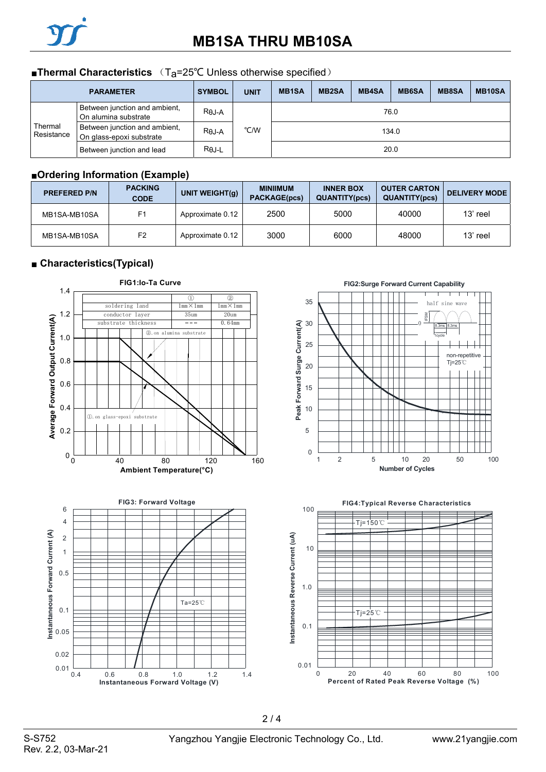

# ■**Thermal Characteristics** (T<sub>a</sub>=25°C Unless otherwise specified)

| <b>PARAMETER</b>                                                                   |                                                       | <b>SYMBOL</b> | <b>UNIT</b> | <b>MB1SA</b> | <b>MB2SA</b> | <b>MB4SA</b> | <b>MB6SA</b> | <b>MB8SA</b> | MB10SA |
|------------------------------------------------------------------------------------|-------------------------------------------------------|---------------|-------------|--------------|--------------|--------------|--------------|--------------|--------|
|                                                                                    | Between junction and ambient,<br>On alumina substrate | $R\theta$ J-A |             | 76.0         |              |              |              |              |        |
| Thermal<br>Between junction and ambient,<br>Resistance<br>On glass-epoxi substrate |                                                       | $R\theta$ J-A | °C/W        | 134.0        |              |              |              |              |        |
|                                                                                    | Between junction and lead                             | $R\theta$ J-L |             |              |              |              | 20.0         |              |        |

# ■**Ordering Information (Example)**

| <b>PREFERED P/N</b> | <b>PACKING</b><br><b>CODE</b> | UNIT WEIGHT $(g)$ | <b>MINIIMUM</b><br><b>PACKAGE(pcs)</b> | <b>INNER BOX</b><br><b>QUANTITY(pcs)</b> | <b>OUTER CARTON</b><br><b>QUANTITY(pcs)</b> | <b>DELIVERY MODE</b> |
|---------------------|-------------------------------|-------------------|----------------------------------------|------------------------------------------|---------------------------------------------|----------------------|
| MB1SA-MB10SA        | F <sub>1</sub>                | Approximate 0.12  | 2500                                   | 5000                                     | 40000                                       | 13' reel             |
| MB1SA-MB10SA        | F <sub>2</sub>                | Approximate 0.12  | 3000                                   | 6000                                     | 48000                                       | 13' reel             |

# ■ **Characteristics(Typical)**

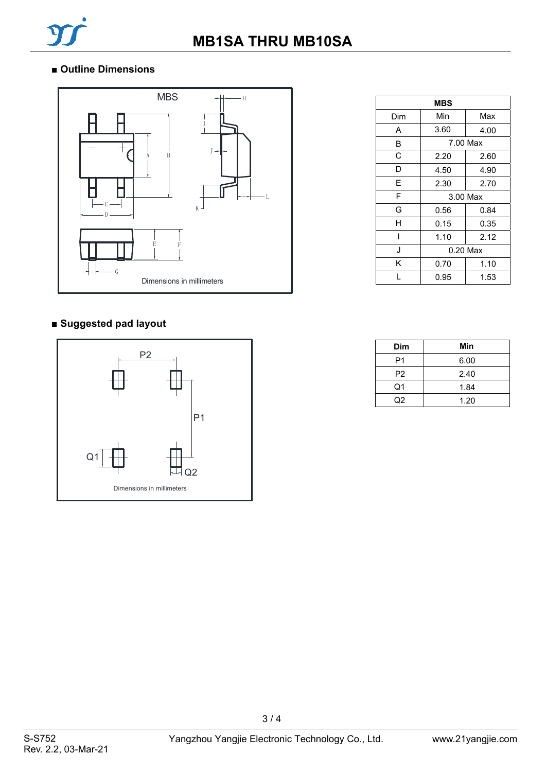

# ■ **Outline Dimensions**



# **■ Suggested pad layout**



| <b>MBS</b> |              |          |  |  |  |
|------------|--------------|----------|--|--|--|
| Dim        | Min<br>Max   |          |  |  |  |
| A          | 3.60<br>4.00 |          |  |  |  |
| В          |              | 7.00 Max |  |  |  |
| C          | 2.20         | 2.60     |  |  |  |
| D          | 4.50         | 4.90     |  |  |  |
| F          | 2.30         | 2.70     |  |  |  |
| F          | 3.00 Max     |          |  |  |  |
| G          | 0.56         | 0.84     |  |  |  |
| Н          | 0.15         | 0.35     |  |  |  |
|            | 1.10         | 2.12     |  |  |  |
| J          | $0.20$ Max   |          |  |  |  |
| Κ          | 0.70         | 1.10     |  |  |  |
|            | 0.95         | 1.53     |  |  |  |

| Dim            | Min  |
|----------------|------|
| P1             | 6.00 |
| P <sub>2</sub> | 2.40 |
| Q1             | 1.84 |
| റാ             | 1.20 |

3 / 4